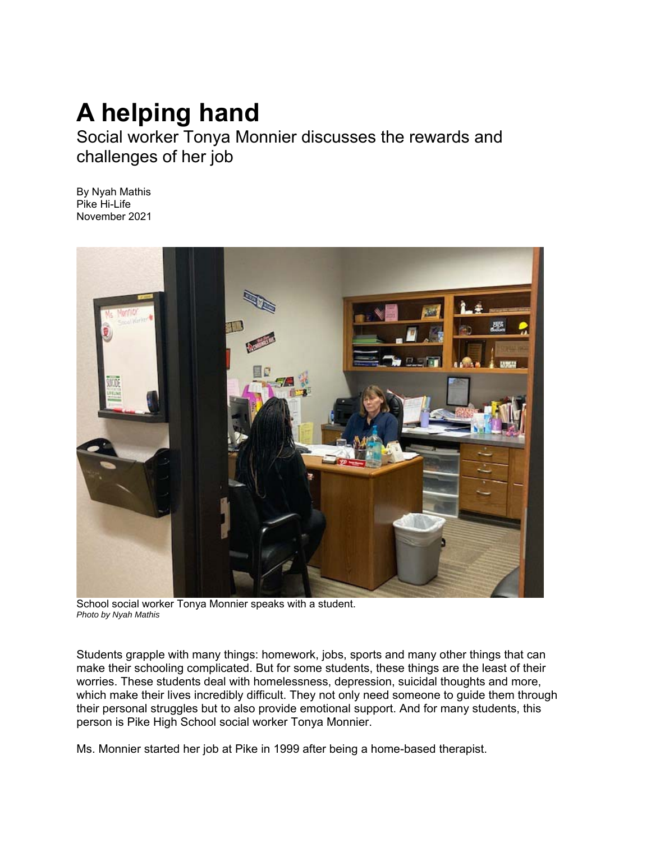## **A helping hand**

Social worker Tonya Monnier discusses the rewards and challenges of her job

By Nyah Mathis Pike Hi-Life November 2021



School social worker Tonya Monnier speaks with a student. *Photo by Nyah Mathis* 

Students grapple with many things: homework, jobs, sports and many other things that can make their schooling complicated. But for some students, these things are the least of their worries. These students deal with homelessness, depression, suicidal thoughts and more, which make their lives incredibly difficult. They not only need someone to guide them through their personal struggles but to also provide emotional support. And for many students, this person is Pike High School social worker Tonya Monnier.

Ms. Monnier started her job at Pike in 1999 after being a home-based therapist.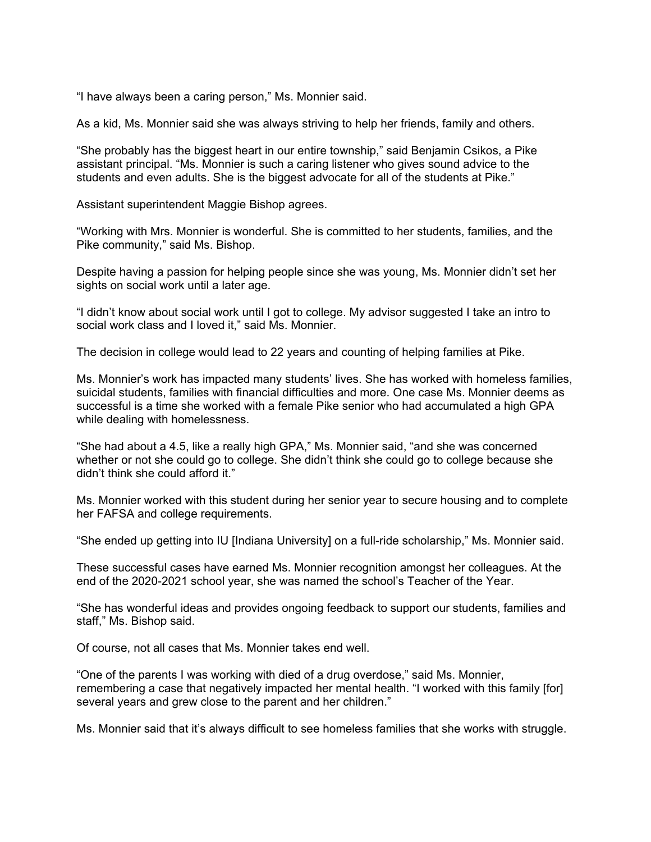"I have always been a caring person," Ms. Monnier said.

As a kid, Ms. Monnier said she was always striving to help her friends, family and others.

"She probably has the biggest heart in our entire township," said Benjamin Csikos, a Pike assistant principal. "Ms. Monnier is such a caring listener who gives sound advice to the students and even adults. She is the biggest advocate for all of the students at Pike."

Assistant superintendent Maggie Bishop agrees.

"Working with Mrs. Monnier is wonderful. She is committed to her students, families, and the Pike community," said Ms. Bishop.

Despite having a passion for helping people since she was young, Ms. Monnier didn't set her sights on social work until a later age.

"I didn't know about social work until I got to college. My advisor suggested I take an intro to social work class and I loved it," said Ms. Monnier.

The decision in college would lead to 22 years and counting of helping families at Pike.

Ms. Monnier's work has impacted many students' lives. She has worked with homeless families, suicidal students, families with financial difficulties and more. One case Ms. Monnier deems as successful is a time she worked with a female Pike senior who had accumulated a high GPA while dealing with homelessness.

"She had about a 4.5, like a really high GPA," Ms. Monnier said, "and she was concerned whether or not she could go to college. She didn't think she could go to college because she didn't think she could afford it."

Ms. Monnier worked with this student during her senior year to secure housing and to complete her FAFSA and college requirements.

"She ended up getting into IU [Indiana University] on a full-ride scholarship," Ms. Monnier said.

These successful cases have earned Ms. Monnier recognition amongst her colleagues. At the end of the 2020-2021 school year, she was named the school's Teacher of the Year.

"She has wonderful ideas and provides ongoing feedback to support our students, families and staff," Ms. Bishop said.

Of course, not all cases that Ms. Monnier takes end well.

"One of the parents I was working with died of a drug overdose," said Ms. Monnier, remembering a case that negatively impacted her mental health. "I worked with this family [for] several years and grew close to the parent and her children."

Ms. Monnier said that it's always difficult to see homeless families that she works with struggle.